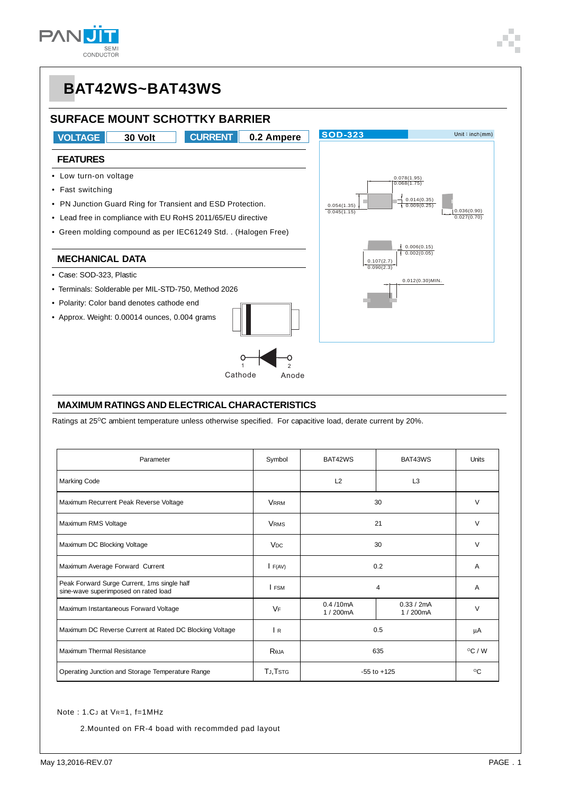

## **BAT42WS~BAT43WS**

### **SURFACE MOUNT SCHOTTKY BARRIER**

#### **VOLTAGE** 30 Volt<br> **CURRENT** 0.2 Ampere **CURRENT**

#### **FEATURES**

- Low turn-on voltage
- Fast switching
- PN Junction Guard Ring for Transient and ESD Protection.
- Lead free in compliance with EU RoHS 2011/65/EU directive
- Green molding compound as per IEC61249 Std. . (Halogen Free)

### **MECHANICAL DATA**

- Case: SOD-323, Plastic
- Terminals: Solderable per MIL-STD-750, Method 2026
- Polarity: Color band denotes cathode end
- Approx. Weight: 0.00014 ounces, 0.004 grams



Cathode Anode



#### **MAXIMUM RATINGS AND ELECTRICAL CHARACTERISTICS**

Ratings at 25°C ambient temperature unless otherwise specified. For capacitive load, derate current by 20%.

| Parameter                                                                           | Symbol                                                 | BAT42WS         | BAT43WS          | <b>Units</b> |
|-------------------------------------------------------------------------------------|--------------------------------------------------------|-----------------|------------------|--------------|
| <b>Marking Code</b>                                                                 |                                                        | L2              | L <sub>3</sub>   |              |
| Maximum Recurrent Peak Reverse Voltage                                              | <b>VRRM</b>                                            | 30              | $\vee$           |              |
| Maximum RMS Voltage                                                                 | <b>VRMS</b>                                            | 21              | $\vee$           |              |
| Maximum DC Blocking Voltage                                                         | <b>V<sub>DC</sub></b>                                  | 30              | $\vee$           |              |
| Maximum Average Forward Current                                                     | F(AV)                                                  | 0.2             | A                |              |
| Peak Forward Surge Current, 1ms single half<br>sine-wave superimposed on rated load | I FSM                                                  |                 | A                |              |
| Maximum Instantaneous Forward Voltage                                               | 0.4/10mA<br>0.33 / 2mA<br>VF<br>1 / 200mA<br>1 / 200mA |                 | $\vee$           |              |
| Maximum DC Reverse Current at Rated DC Blocking Voltage                             | $\mathsf{R}$                                           | 0.5             | μA               |              |
| Maximum Thermal Resistance                                                          | Reja                                                   | 635             | $^{\circ}$ C / W |              |
| Operating Junction and Storage Temperature Range                                    | TJ, TSTG                                               | $-55$ to $+125$ |                  | $^{\circ}$ C |

Note: 1.CJ at VR=1, f=1MHz

2.Mounted on FR-4 boad with recommded pad layout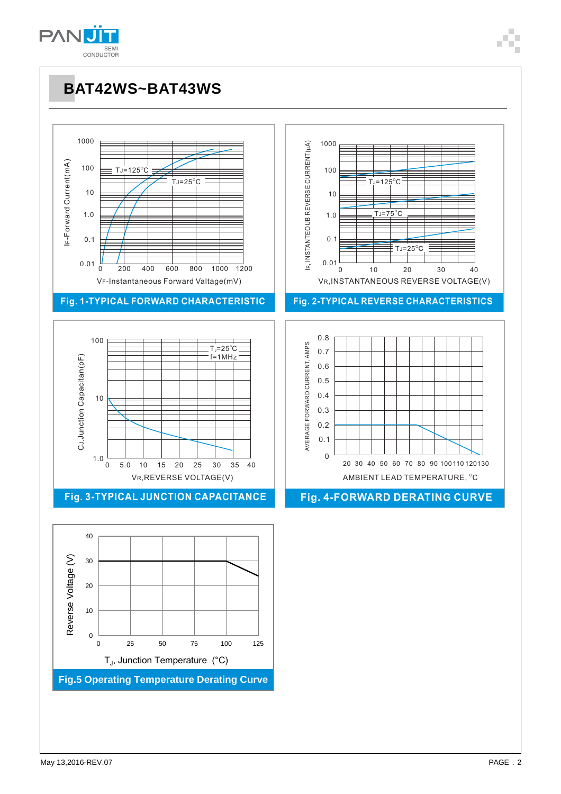





VR, REVERSE VOLTAGE(V)

1.0  $_{0}^{L}$ 

#### **Fig. 4-FORWARD DERATING CURVE**

AMBIENT LEAD TEMPERATURE. °C AVERAGE FORWARD CURRENT, AMPS  $\overline{0}$ 0.1 0.2 0.3 0.4 0 20 5.0 10 25 30 40 70 30 80 15 20 35 50 60 90 40 100110 120130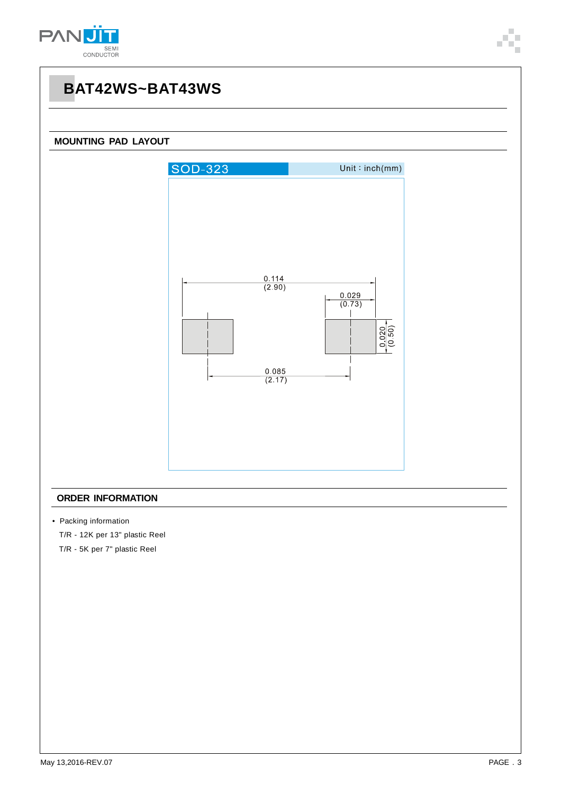

#### **MOUNTING PAD LAYOUT**



#### **ORDER INFORMATION**

• Packing information

T/R - 12K per 13" plastic Reel

T/R - 5K per 7" plastic Reel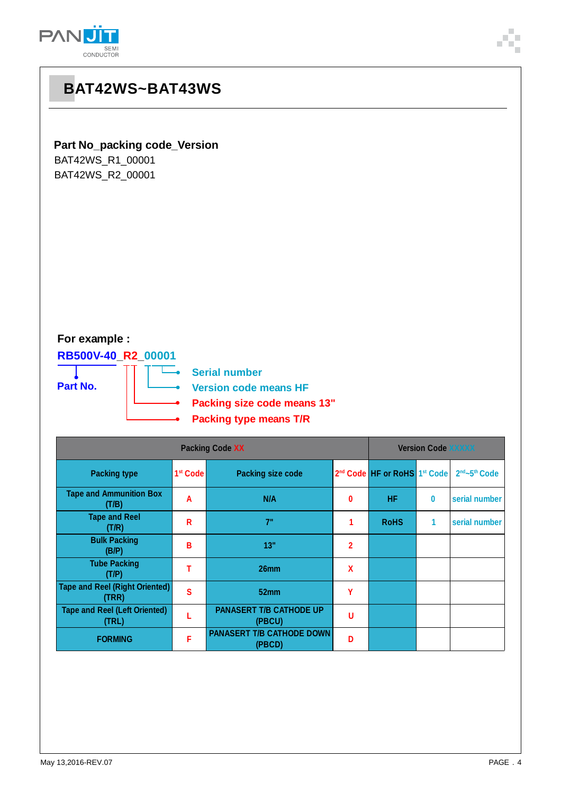

| BAT42WS~BAT43WS                                                                                                                                                                |                      |                                            |                |                                                      |             |                                       |  |  |  |
|--------------------------------------------------------------------------------------------------------------------------------------------------------------------------------|----------------------|--------------------------------------------|----------------|------------------------------------------------------|-------------|---------------------------------------|--|--|--|
| Part No_packing code_Version<br>BAT42WS_R1_00001<br>BAT42WS_R2_00001                                                                                                           |                      |                                            |                |                                                      |             |                                       |  |  |  |
| For example :<br>RB500V-40_R2_00001<br><b>Serial number</b><br>Part No.<br><b>Version code means HF</b><br><b>Packing size code means 13"</b><br><b>Packing type means T/R</b> |                      |                                            |                |                                                      |             |                                       |  |  |  |
| <b>Packing Code XX</b>                                                                                                                                                         |                      |                                            |                | <b>Version Code XXXXX</b>                            |             |                                       |  |  |  |
| <b>Packing type</b>                                                                                                                                                            | 1 <sup>st</sup> Code | <b>Packing size code</b>                   |                | 2 <sup>nd</sup> Code HF or RoHS 1 <sup>st</sup> Code |             | 2 <sup>nd</sup> ~5 <sup>th</sup> Code |  |  |  |
| <b>Tape and Ammunition Box</b><br>(T/B)                                                                                                                                        | A                    | N/A                                        | $\mathbf 0$    | HF.                                                  | $\mathbf 0$ | serial number                         |  |  |  |
| <b>Tape and Reel</b><br>(T/R)                                                                                                                                                  | $\mathsf{R}$         | 7"                                         | 1              | <b>RoHS</b>                                          | 1           | serial number                         |  |  |  |
| <b>Bulk Packing</b><br>(B/P)                                                                                                                                                   | B                    | 13"                                        | $\overline{2}$ |                                                      |             |                                       |  |  |  |
| <b>Tube Packing</b><br>(T/P)                                                                                                                                                   | $\mathsf T$          | 26mm                                       | X              |                                                      |             |                                       |  |  |  |
| <b>Tape and Reel (Right Oriented)</b><br>(TRR)                                                                                                                                 | $\mathbf s$          | 52mm                                       | Y              |                                                      |             |                                       |  |  |  |
| <b>Tape and Reel (Left Oriented)</b><br>(TRL)                                                                                                                                  | L                    | <b>PANASERT T/B CATHODE UP</b><br>(PBCU)   | $\mathsf{U}$   |                                                      |             |                                       |  |  |  |
| <b>FORMING</b>                                                                                                                                                                 | F                    | <b>PANASERT T/B CATHODE DOWN</b><br>(PBCD) | D              |                                                      |             |                                       |  |  |  |